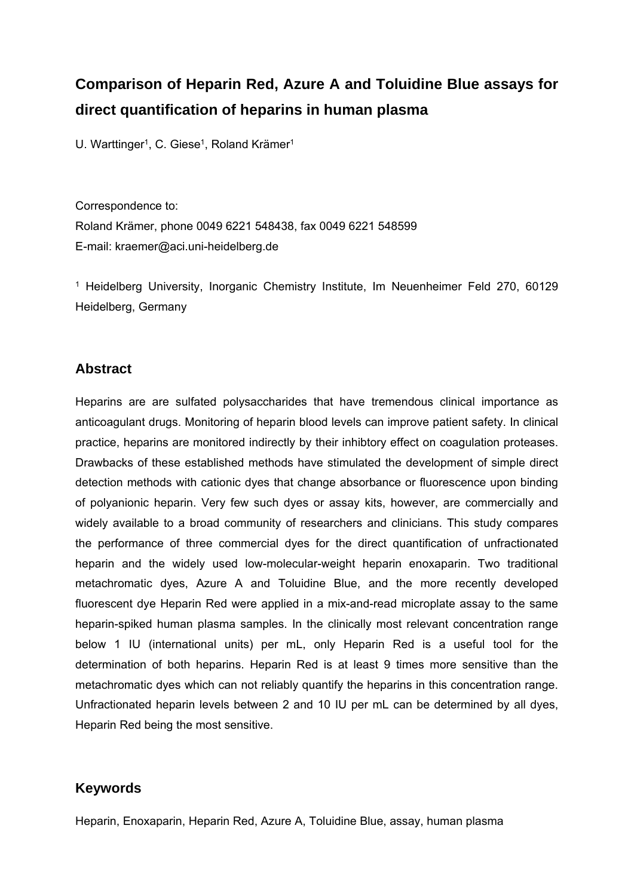# **Comparison of Heparin Red, Azure A and Toluidine Blue assays for direct quantification of heparins in human plasma**

U. Warttinger<sup>1</sup>, C. Giese<sup>1</sup>, Roland Krämer<sup>1</sup>

Correspondence to: Roland Krämer, phone 0049 6221 548438, fax 0049 6221 548599 E-mail: kraemer@aci.uni-heidelberg.de

1 Heidelberg University, Inorganic Chemistry Institute, Im Neuenheimer Feld 270, 60129 Heidelberg, Germany

## **Abstract**

Heparins are are sulfated polysaccharides that have tremendous clinical importance as anticoagulant drugs. Monitoring of heparin blood levels can improve patient safety. In clinical practice, heparins are monitored indirectly by their inhibtory effect on coagulation proteases. Drawbacks of these established methods have stimulated the development of simple direct detection methods with cationic dyes that change absorbance or fluorescence upon binding of polyanionic heparin. Very few such dyes or assay kits, however, are commercially and widely available to a broad community of researchers and clinicians. This study compares the performance of three commercial dyes for the direct quantification of unfractionated heparin and the widely used low-molecular-weight heparin enoxaparin. Two traditional metachromatic dyes, Azure A and Toluidine Blue, and the more recently developed fluorescent dye Heparin Red were applied in a mix-and-read microplate assay to the same heparin-spiked human plasma samples. In the clinically most relevant concentration range below 1 IU (international units) per mL, only Heparin Red is a useful tool for the determination of both heparins. Heparin Red is at least 9 times more sensitive than the metachromatic dyes which can not reliably quantify the heparins in this concentration range. Unfractionated heparin levels between 2 and 10 IU per mL can be determined by all dyes, Heparin Red being the most sensitive.

## **Keywords**

Heparin, Enoxaparin, Heparin Red, Azure A, Toluidine Blue, assay, human plasma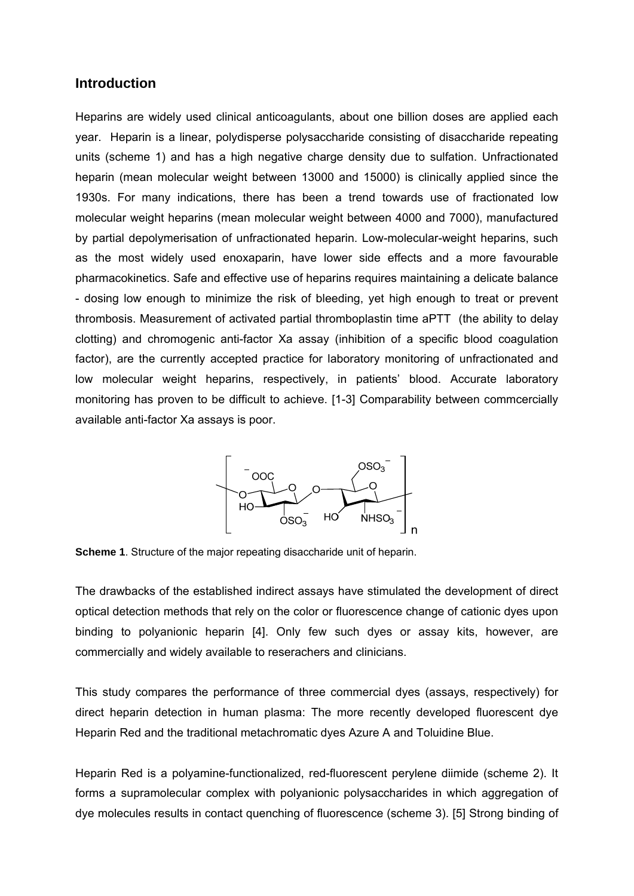## **Introduction**

Heparins are widely used clinical anticoagulants, about one billion doses are applied each year. Heparin is a linear, polydisperse polysaccharide consisting of disaccharide repeating units (scheme 1) and has a high negative charge density due to sulfation. Unfractionated heparin (mean molecular weight between 13000 and 15000) is clinically applied since the 1930s. For many indications, there has been a trend towards use of fractionated low molecular weight heparins (mean molecular weight between 4000 and 7000), manufactured by partial depolymerisation of unfractionated heparin. Low-molecular-weight heparins, such as the most widely used enoxaparin, have lower side effects and a more favourable pharmacokinetics. Safe and effective use of heparins requires maintaining a delicate balance - dosing low enough to minimize the risk of bleeding, yet high enough to treat or prevent thrombosis. Measurement of activated partial thromboplastin time aPTT (the ability to delay clotting) and chromogenic anti-factor Xa assay (inhibition of a specific blood coagulation factor), are the currently accepted practice for laboratory monitoring of unfractionated and low molecular weight heparins, respectively, in patients' blood. Accurate laboratory monitoring has proven to be difficult to achieve. [1-3] Comparability between commcercially available anti-factor Xa assays is poor.



**Scheme 1**. Structure of the major repeating disaccharide unit of heparin.

The drawbacks of the established indirect assays have stimulated the development of direct optical detection methods that rely on the color or fluorescence change of cationic dyes upon binding to polyanionic heparin [4]. Only few such dyes or assay kits, however, are commercially and widely available to reserachers and clinicians.

This study compares the performance of three commercial dyes (assays, respectively) for direct heparin detection in human plasma: The more recently developed fluorescent dye Heparin Red and the traditional metachromatic dyes Azure A and Toluidine Blue.

Heparin Red is a polyamine-functionalized, red-fluorescent perylene diimide (scheme 2). It forms a supramolecular complex with polyanionic polysaccharides in which aggregation of dye molecules results in contact quenching of fluorescence (scheme 3). [5] Strong binding of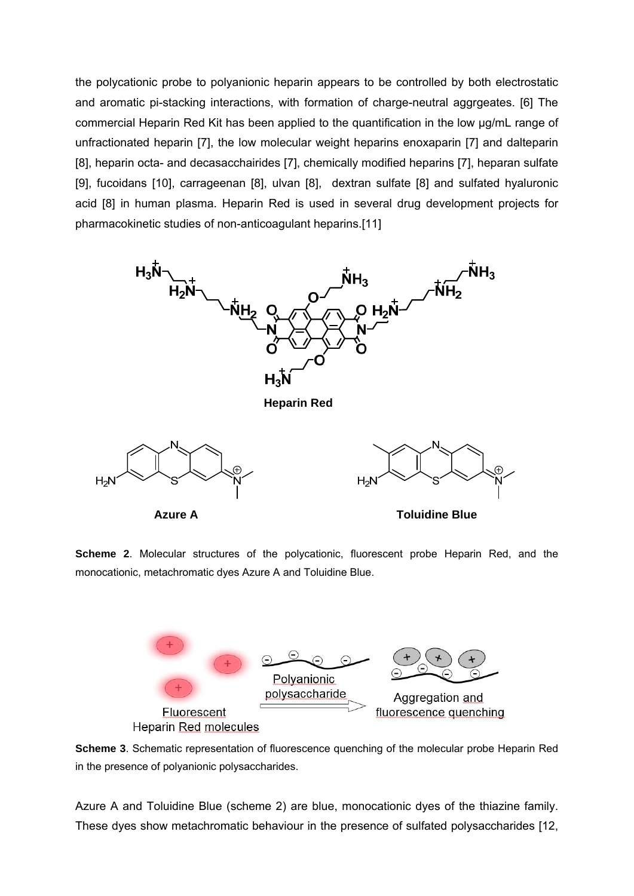the polycationic probe to polyanionic heparin appears to be controlled by both electrostatic and aromatic pi-stacking interactions, with formation of charge-neutral aggrgeates. [6] The commercial Heparin Red Kit has been applied to the quantification in the low µg/mL range of unfractionated heparin [7], the low molecular weight heparins enoxaparin [7] and dalteparin [8], heparin octa- and decasacchairides [7], chemically modified heparins [7], heparan sulfate [9], fucoidans [10], carrageenan [8], ulvan [8], dextran sulfate [8] and sulfated hyaluronic acid [8] in human plasma. Heparin Red is used in several drug development projects for pharmacokinetic studies of non-anticoagulant heparins.[11]



**Scheme 2**. Molecular structures of the polycationic, fluorescent probe Heparin Red, and the monocationic, metachromatic dyes Azure A and Toluidine Blue.



**Scheme 3**. Schematic representation of fluorescence quenching of the molecular probe Heparin Red in the presence of polyanionic polysaccharides.

Azure A and Toluidine Blue (scheme 2) are blue, monocationic dyes of the thiazine family. These dyes show metachromatic behaviour in the presence of sulfated polysaccharides [12,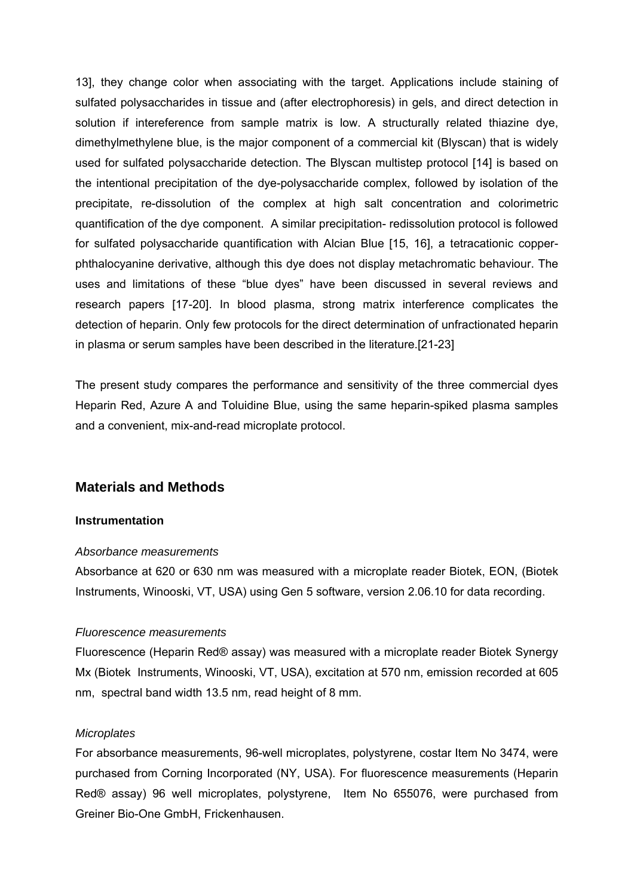13], they change color when associating with the target. Applications include staining of sulfated polysaccharides in tissue and (after electrophoresis) in gels, and direct detection in solution if intereference from sample matrix is low. A structurally related thiazine dye, dimethylmethylene blue, is the major component of a commercial kit (Blyscan) that is widely used for sulfated polysaccharide detection. The Blyscan multistep protocol [14] is based on the intentional precipitation of the dye-polysaccharide complex, followed by isolation of the precipitate, re-dissolution of the complex at high salt concentration and colorimetric quantification of the dye component. A similar precipitation- redissolution protocol is followed for sulfated polysaccharide quantification with Alcian Blue [15, 16], a tetracationic copperphthalocyanine derivative, although this dye does not display metachromatic behaviour. The uses and limitations of these "blue dyes" have been discussed in several reviews and research papers [17-20]. In blood plasma, strong matrix interference complicates the detection of heparin. Only few protocols for the direct determination of unfractionated heparin in plasma or serum samples have been described in the literature.[21-23]

The present study compares the performance and sensitivity of the three commercial dyes Heparin Red, Azure A and Toluidine Blue, using the same heparin-spiked plasma samples and a convenient, mix-and-read microplate protocol.

## **Materials and Methods**

#### **Instrumentation**

#### *Absorbance measurements*

Absorbance at 620 or 630 nm was measured with a microplate reader Biotek, EON, (Biotek Instruments, Winooski, VT, USA) using Gen 5 software, version 2.06.10 for data recording.

#### *Fluorescence measurements*

Fluorescence (Heparin Red® assay) was measured with a microplate reader Biotek Synergy Mx (Biotek Instruments, Winooski, VT, USA), excitation at 570 nm, emission recorded at 605 nm, spectral band width 13.5 nm, read height of 8 mm.

#### *Microplates*

For absorbance measurements, 96-well microplates, polystyrene, costar Item No 3474, were purchased from Corning Incorporated (NY, USA). For fluorescence measurements (Heparin Red® assay) 96 well microplates, polystyrene, Item No 655076, were purchased from Greiner Bio-One GmbH, Frickenhausen.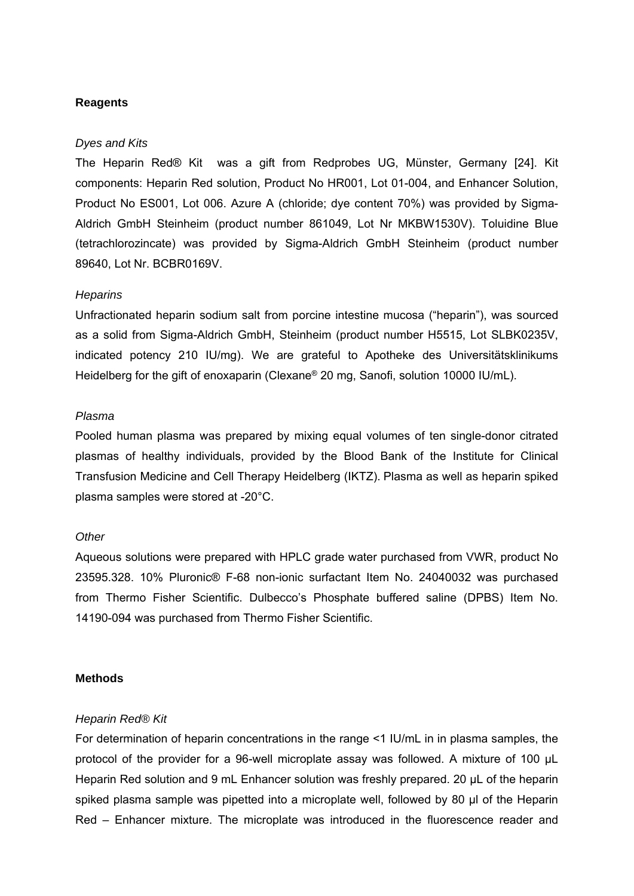### **Reagents**

#### *Dyes and Kits*

The Heparin Red® Kit was a gift from Redprobes UG, Münster, Germany [24]. Kit components: Heparin Red solution, Product No HR001, Lot 01-004, and Enhancer Solution, Product No ES001, Lot 006. Azure A (chloride; dye content 70%) was provided by Sigma-Aldrich GmbH Steinheim (product number 861049, Lot Nr MKBW1530V). Toluidine Blue (tetrachlorozincate) was provided by Sigma-Aldrich GmbH Steinheim (product number 89640, Lot Nr. BCBR0169V.

#### *Heparins*

Unfractionated heparin sodium salt from porcine intestine mucosa ("heparin"), was sourced as a solid from Sigma-Aldrich GmbH, Steinheim (product number H5515, Lot SLBK0235V, indicated potency 210 IU/mg). We are grateful to Apotheke des Universitätsklinikums Heidelberg for the gift of enoxaparin (Clexane® 20 mg, Sanofi, solution 10000 IU/mL).

#### *Plasma*

Pooled human plasma was prepared by mixing equal volumes of ten single-donor citrated plasmas of healthy individuals, provided by the Blood Bank of the Institute for Clinical Transfusion Medicine and Cell Therapy Heidelberg (IKTZ). Plasma as well as heparin spiked plasma samples were stored at -20°C.

#### *Other*

Aqueous solutions were prepared with HPLC grade water purchased from VWR, product No 23595.328. 10% Pluronic® F-68 non-ionic surfactant Item No. 24040032 was purchased from Thermo Fisher Scientific. Dulbecco's Phosphate buffered saline (DPBS) Item No. 14190-094 was purchased from Thermo Fisher Scientific.

#### **Methods**

#### *Heparin Red® Kit*

For determination of heparin concentrations in the range <1 IU/mL in in plasma samples, the protocol of the provider for a 96-well microplate assay was followed. A mixture of 100 µL Heparin Red solution and 9 mL Enhancer solution was freshly prepared. 20 µL of the heparin spiked plasma sample was pipetted into a microplate well, followed by 80 µl of the Heparin Red – Enhancer mixture. The microplate was introduced in the fluorescence reader and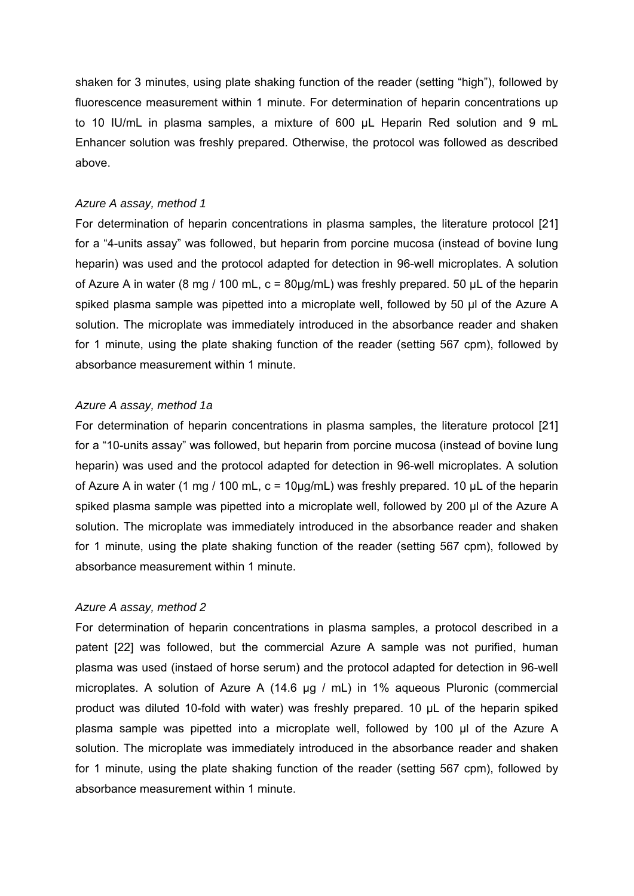shaken for 3 minutes, using plate shaking function of the reader (setting "high"), followed by fluorescence measurement within 1 minute. For determination of heparin concentrations up to 10 IU/mL in plasma samples, a mixture of 600 µL Heparin Red solution and 9 mL Enhancer solution was freshly prepared. Otherwise, the protocol was followed as described above.

#### *Azure A assay, method 1*

For determination of heparin concentrations in plasma samples, the literature protocol [21] for a "4-units assay" was followed, but heparin from porcine mucosa (instead of bovine lung heparin) was used and the protocol adapted for detection in 96-well microplates. A solution of Azure A in water (8 mg / 100 mL,  $c = 80 \mu g/mL$ ) was freshly prepared. 50  $\mu$ L of the heparin spiked plasma sample was pipetted into a microplate well, followed by 50 µl of the Azure A solution. The microplate was immediately introduced in the absorbance reader and shaken for 1 minute, using the plate shaking function of the reader (setting 567 cpm), followed by absorbance measurement within 1 minute.

## *Azure A assay, method 1a*

For determination of heparin concentrations in plasma samples, the literature protocol [21] for a "10-units assay" was followed, but heparin from porcine mucosa (instead of bovine lung heparin) was used and the protocol adapted for detection in 96-well microplates. A solution of Azure A in water (1 mg / 100 mL,  $c = 10\mu q/mL$ ) was freshly prepared. 10  $\mu L$  of the heparin spiked plasma sample was pipetted into a microplate well, followed by 200 µl of the Azure A solution. The microplate was immediately introduced in the absorbance reader and shaken for 1 minute, using the plate shaking function of the reader (setting 567 cpm), followed by absorbance measurement within 1 minute.

## *Azure A assay, method 2*

For determination of heparin concentrations in plasma samples, a protocol described in a patent [22] was followed, but the commercial Azure A sample was not purified, human plasma was used (instaed of horse serum) and the protocol adapted for detection in 96-well microplates. A solution of Azure A (14.6 µg / mL) in 1% aqueous Pluronic (commercial product was diluted 10-fold with water) was freshly prepared. 10 µL of the heparin spiked plasma sample was pipetted into a microplate well, followed by 100 µl of the Azure A solution. The microplate was immediately introduced in the absorbance reader and shaken for 1 minute, using the plate shaking function of the reader (setting 567 cpm), followed by absorbance measurement within 1 minute.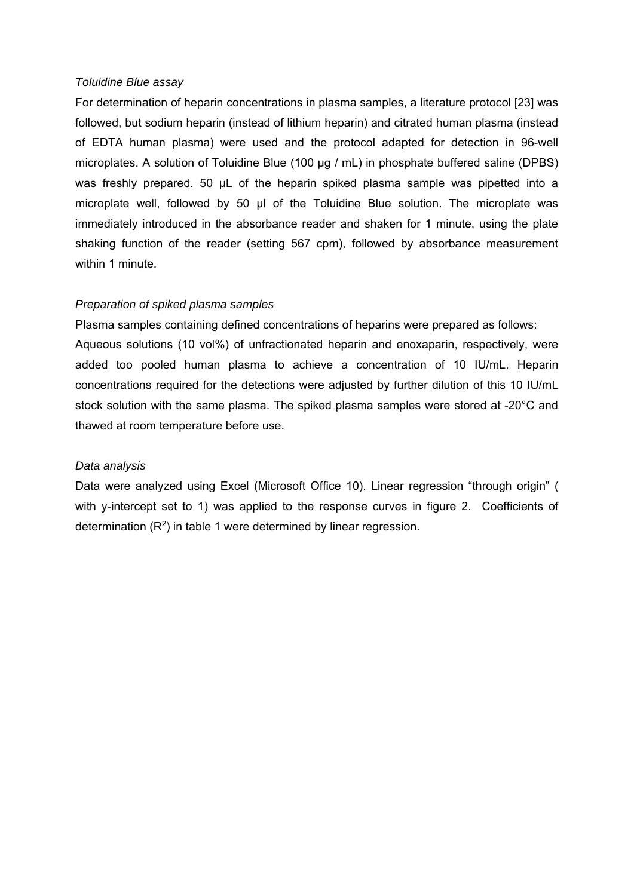#### *Toluidine Blue assay*

For determination of heparin concentrations in plasma samples, a literature protocol [23] was followed, but sodium heparin (instead of lithium heparin) and citrated human plasma (instead of EDTA human plasma) were used and the protocol adapted for detection in 96-well microplates. A solution of Toluidine Blue (100 µg / mL) in phosphate buffered saline (DPBS) was freshly prepared. 50  $\mu$ L of the heparin spiked plasma sample was pipetted into a microplate well, followed by 50 µl of the Toluidine Blue solution. The microplate was immediately introduced in the absorbance reader and shaken for 1 minute, using the plate shaking function of the reader (setting 567 cpm), followed by absorbance measurement within 1 minute.

## *Preparation of spiked plasma samples*

Plasma samples containing defined concentrations of heparins were prepared as follows: Aqueous solutions (10 vol%) of unfractionated heparin and enoxaparin, respectively, were added too pooled human plasma to achieve a concentration of 10 IU/mL. Heparin concentrations required for the detections were adjusted by further dilution of this 10 IU/mL stock solution with the same plasma. The spiked plasma samples were stored at -20°C and thawed at room temperature before use.

## *Data analysis*

Data were analyzed using Excel (Microsoft Office 10). Linear regression "through origin" ( with y-intercept set to 1) was applied to the response curves in figure 2. Coefficients of determination (R2) in table 1 were determined by linear regression.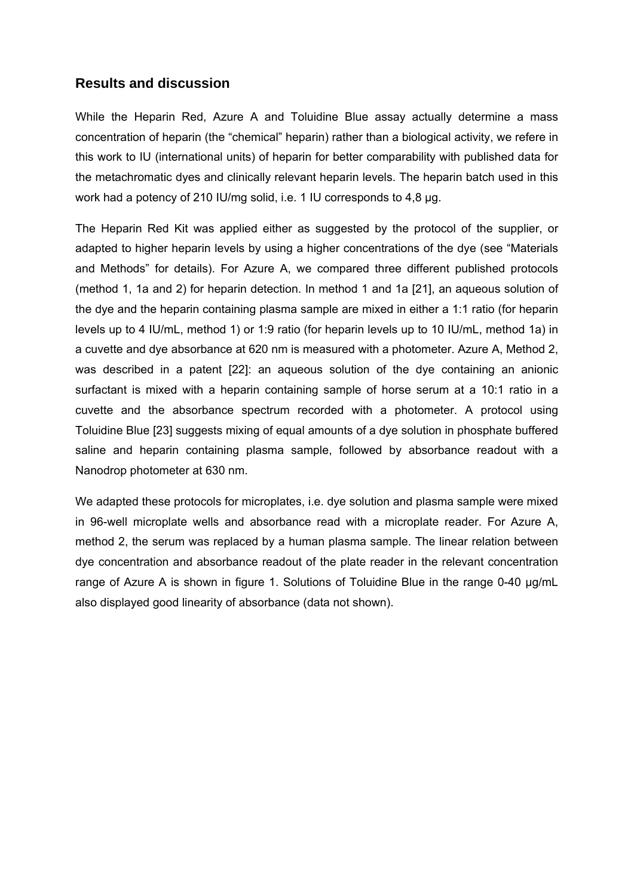## **Results and discussion**

While the Heparin Red, Azure A and Toluidine Blue assay actually determine a mass concentration of heparin (the "chemical" heparin) rather than a biological activity, we refere in this work to IU (international units) of heparin for better comparability with published data for the metachromatic dyes and clinically relevant heparin levels. The heparin batch used in this work had a potency of 210 IU/mg solid, i.e. 1 IU corresponds to 4,8 µg.

The Heparin Red Kit was applied either as suggested by the protocol of the supplier, or adapted to higher heparin levels by using a higher concentrations of the dye (see "Materials and Methods" for details). For Azure A, we compared three different published protocols (method 1, 1a and 2) for heparin detection. In method 1 and 1a [21], an aqueous solution of the dye and the heparin containing plasma sample are mixed in either a 1:1 ratio (for heparin levels up to 4 IU/mL, method 1) or 1:9 ratio (for heparin levels up to 10 IU/mL, method 1a) in a cuvette and dye absorbance at 620 nm is measured with a photometer. Azure A, Method 2, was described in a patent [22]: an aqueous solution of the dye containing an anionic surfactant is mixed with a heparin containing sample of horse serum at a 10:1 ratio in a cuvette and the absorbance spectrum recorded with a photometer. A protocol using Toluidine Blue [23] suggests mixing of equal amounts of a dye solution in phosphate buffered saline and heparin containing plasma sample, followed by absorbance readout with a Nanodrop photometer at 630 nm.

We adapted these protocols for microplates, i.e. dye solution and plasma sample were mixed in 96-well microplate wells and absorbance read with a microplate reader. For Azure A, method 2, the serum was replaced by a human plasma sample. The linear relation between dye concentration and absorbance readout of the plate reader in the relevant concentration range of Azure A is shown in figure 1. Solutions of Toluidine Blue in the range 0-40 µg/mL also displayed good linearity of absorbance (data not shown).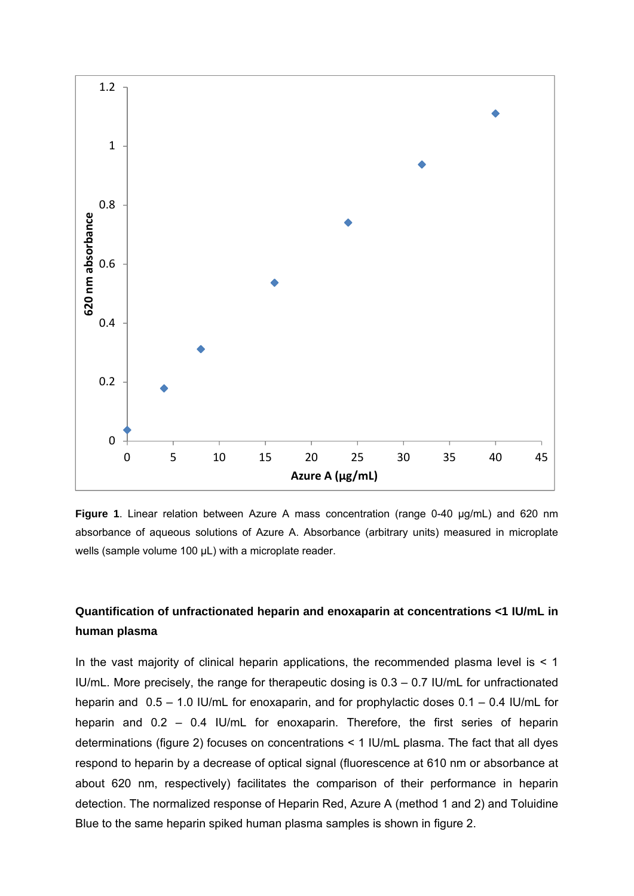

**Figure 1**. Linear relation between Azure A mass concentration (range 0-40 µg/mL) and 620 nm absorbance of aqueous solutions of Azure A. Absorbance (arbitrary units) measured in microplate wells (sample volume 100 µL) with a microplate reader.

## **Quantification of unfractionated heparin and enoxaparin at concentrations <1 IU/mL in human plasma**

In the vast majority of clinical heparin applications, the recommended plasma level is  $\leq 1$ IU/mL. More precisely, the range for therapeutic dosing is 0.3 – 0.7 IU/mL for unfractionated heparin and 0.5 – 1.0 IU/mL for enoxaparin, and for prophylactic doses 0.1 – 0.4 IU/mL for heparin and 0.2 – 0.4 IU/mL for enoxaparin. Therefore, the first series of heparin determinations (figure 2) focuses on concentrations < 1 IU/mL plasma. The fact that all dyes respond to heparin by a decrease of optical signal (fluorescence at 610 nm or absorbance at about 620 nm, respectively) facilitates the comparison of their performance in heparin detection. The normalized response of Heparin Red, Azure A (method 1 and 2) and Toluidine Blue to the same heparin spiked human plasma samples is shown in figure 2.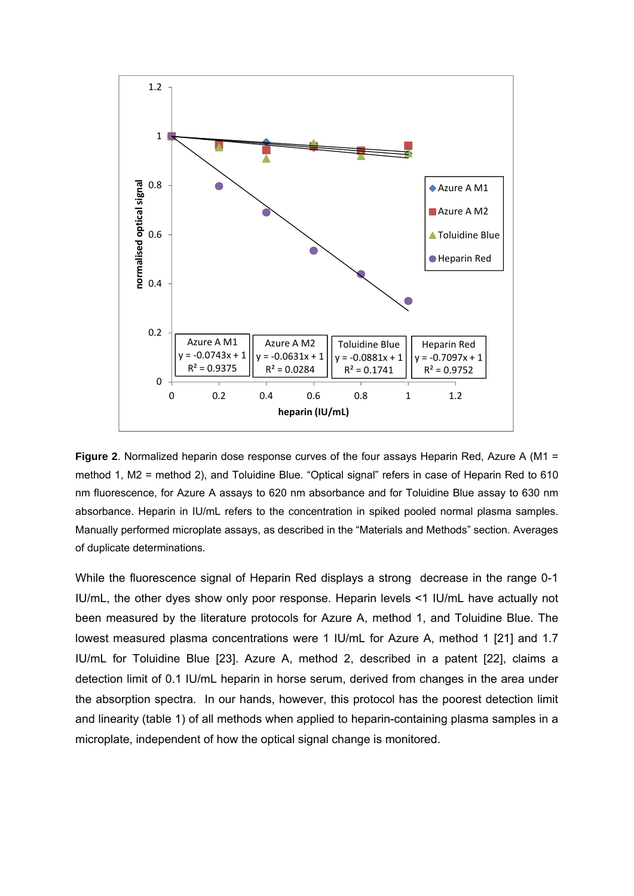

**Figure 2**. Normalized heparin dose response curves of the four assays Heparin Red, Azure A (M1 = method 1, M2 = method 2), and Toluidine Blue. "Optical signal" refers in case of Heparin Red to 610 nm fluorescence, for Azure A assays to 620 nm absorbance and for Toluidine Blue assay to 630 nm absorbance. Heparin in IU/mL refers to the concentration in spiked pooled normal plasma samples. Manually performed microplate assays, as described in the "Materials and Methods" section. Averages of duplicate determinations.

While the fluorescence signal of Heparin Red displays a strong decrease in the range 0-1 IU/mL, the other dyes show only poor response. Heparin levels <1 IU/mL have actually not been measured by the literature protocols for Azure A, method 1, and Toluidine Blue. The lowest measured plasma concentrations were 1 IU/mL for Azure A, method 1 [21] and 1.7 IU/mL for Toluidine Blue [23]. Azure A, method 2, described in a patent [22], claims a detection limit of 0.1 IU/mL heparin in horse serum, derived from changes in the area under the absorption spectra. In our hands, however, this protocol has the poorest detection limit and linearity (table 1) of all methods when applied to heparin-containing plasma samples in a microplate, independent of how the optical signal change is monitored.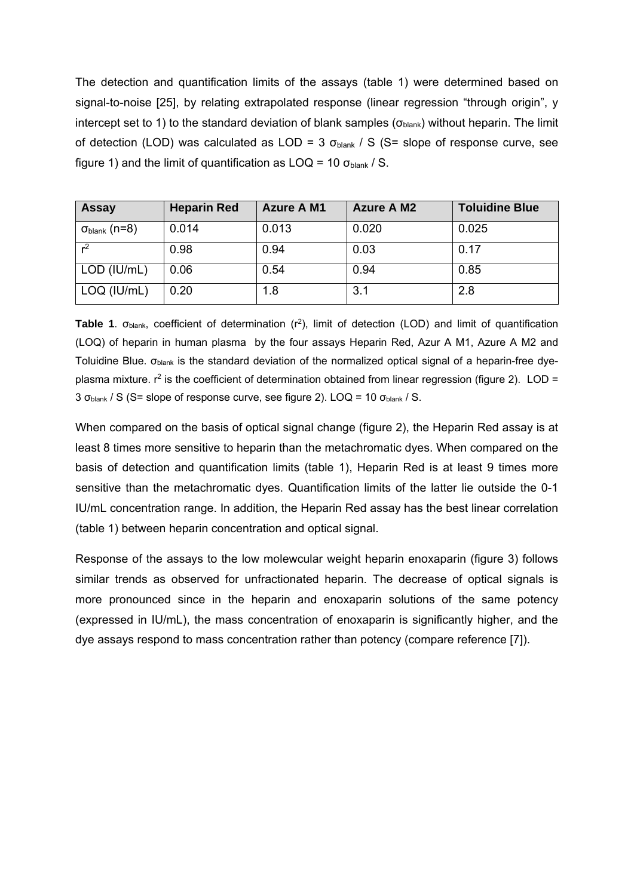The detection and quantification limits of the assays (table 1) were determined based on signal-to-noise [25], by relating extrapolated response (linear regression "through origin", y intercept set to 1) to the standard deviation of blank samples ( $\sigma_{\text{blank}}$ ) without heparin. The limit of detection (LOD) was calculated as LOD = 3  $\sigma_{\text{blank}}$  / S (S= slope of response curve, see figure 1) and the limit of quantification as  $LOQ = 10 \sigma_{blank} / S$ .

| <b>Assay</b>               | <b>Heparin Red</b> | <b>Azure A M1</b> | <b>Azure A M2</b> | <b>Toluidine Blue</b> |
|----------------------------|--------------------|-------------------|-------------------|-----------------------|
| $\sigma_{\sf blank}$ (n=8) | 0.014              | 0.013             | 0.020             | 0.025                 |
| r <sup>2</sup>             | 0.98               | 0.94              | 0.03              | 0.17                  |
| LOD (IU/mL)                | 0.06               | 0.54              | 0.94              | 0.85                  |
| LOQ (IU/mL)                | 0.20               | 1.8               | 3.1               | 2.8                   |

**Table 1**. σblank, coefficient of determination (r2), limit of detection (LOD) and limit of quantification (LOQ) of heparin in human plasma by the four assays Heparin Red, Azur A M1, Azure A M2 and Toluidine Blue.  $\sigma_{\text{blank}}$  is the standard deviation of the normalized optical signal of a heparin-free dyeplasma mixture.  $r^2$  is the coefficient of determination obtained from linear regression (figure 2). LOD = 3 σblank / S (S= slope of response curve, see figure 2). LOQ = 10 σblank / S.

When compared on the basis of optical signal change (figure 2), the Heparin Red assay is at least 8 times more sensitive to heparin than the metachromatic dyes. When compared on the basis of detection and quantification limits (table 1), Heparin Red is at least 9 times more sensitive than the metachromatic dyes. Quantification limits of the latter lie outside the 0-1 IU/mL concentration range. In addition, the Heparin Red assay has the best linear correlation (table 1) between heparin concentration and optical signal.

Response of the assays to the low molewcular weight heparin enoxaparin (figure 3) follows similar trends as observed for unfractionated heparin. The decrease of optical signals is more pronounced since in the heparin and enoxaparin solutions of the same potency (expressed in IU/mL), the mass concentration of enoxaparin is significantly higher, and the dye assays respond to mass concentration rather than potency (compare reference [7]).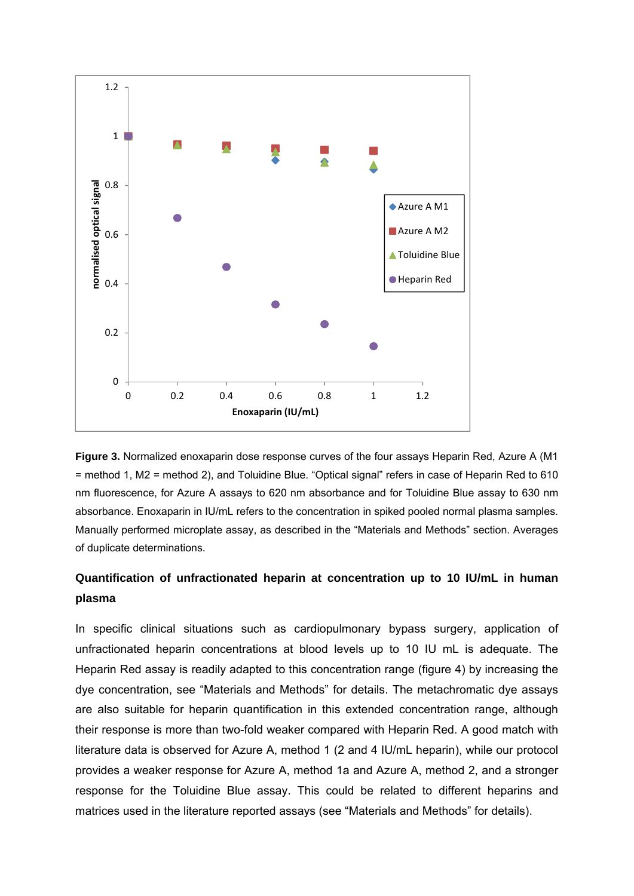

**Figure 3.** Normalized enoxaparin dose response curves of the four assays Heparin Red, Azure A (M1 = method 1, M2 = method 2), and Toluidine Blue. "Optical signal" refers in case of Heparin Red to 610 nm fluorescence, for Azure A assays to 620 nm absorbance and for Toluidine Blue assay to 630 nm absorbance. Enoxaparin in IU/mL refers to the concentration in spiked pooled normal plasma samples. Manually performed microplate assay, as described in the "Materials and Methods" section. Averages of duplicate determinations.

## **Quantification of unfractionated heparin at concentration up to 10 IU/mL in human plasma**

In specific clinical situations such as cardiopulmonary bypass surgery, application of unfractionated heparin concentrations at blood levels up to 10 IU mL is adequate. The Heparin Red assay is readily adapted to this concentration range (figure 4) by increasing the dye concentration, see "Materials and Methods" for details. The metachromatic dye assays are also suitable for heparin quantification in this extended concentration range, although their response is more than two-fold weaker compared with Heparin Red. A good match with literature data is observed for Azure A, method 1 (2 and 4 IU/mL heparin), while our protocol provides a weaker response for Azure A, method 1a and Azure A, method 2, and a stronger response for the Toluidine Blue assay. This could be related to different heparins and matrices used in the literature reported assays (see "Materials and Methods" for details).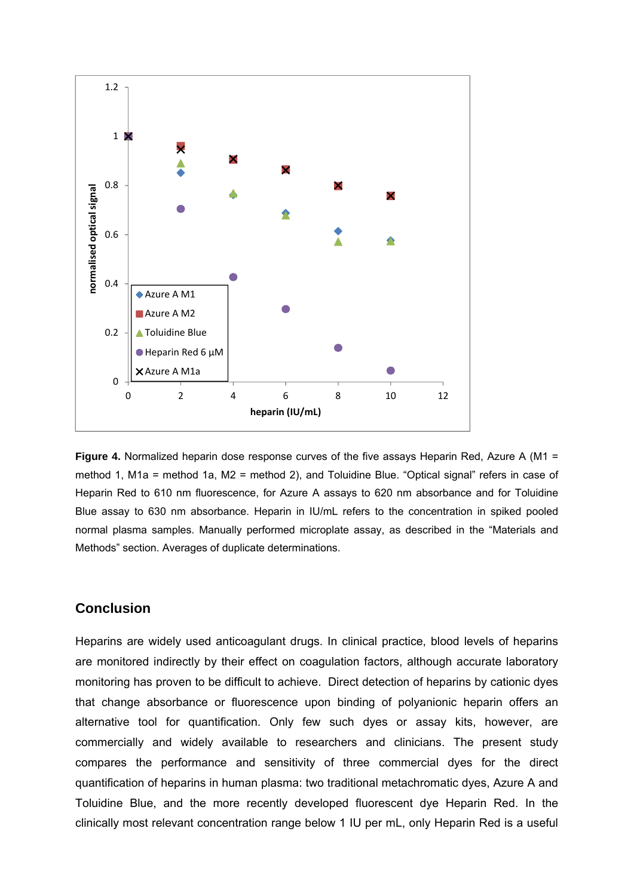

**Figure 4.** Normalized heparin dose response curves of the five assays Heparin Red, Azure A (M1 = method 1, M1a = method 1a, M2 = method 2), and Toluidine Blue. "Optical signal" refers in case of Heparin Red to 610 nm fluorescence, for Azure A assays to 620 nm absorbance and for Toluidine Blue assay to 630 nm absorbance. Heparin in IU/mL refers to the concentration in spiked pooled normal plasma samples. Manually performed microplate assay, as described in the "Materials and Methods" section. Averages of duplicate determinations.

## **Conclusion**

Heparins are widely used anticoagulant drugs. In clinical practice, blood levels of heparins are monitored indirectly by their effect on coagulation factors, although accurate laboratory monitoring has proven to be difficult to achieve. Direct detection of heparins by cationic dyes that change absorbance or fluorescence upon binding of polyanionic heparin offers an alternative tool for quantification. Only few such dyes or assay kits, however, are commercially and widely available to researchers and clinicians. The present study compares the performance and sensitivity of three commercial dyes for the direct quantification of heparins in human plasma: two traditional metachromatic dyes, Azure A and Toluidine Blue, and the more recently developed fluorescent dye Heparin Red. In the clinically most relevant concentration range below 1 IU per mL, only Heparin Red is a useful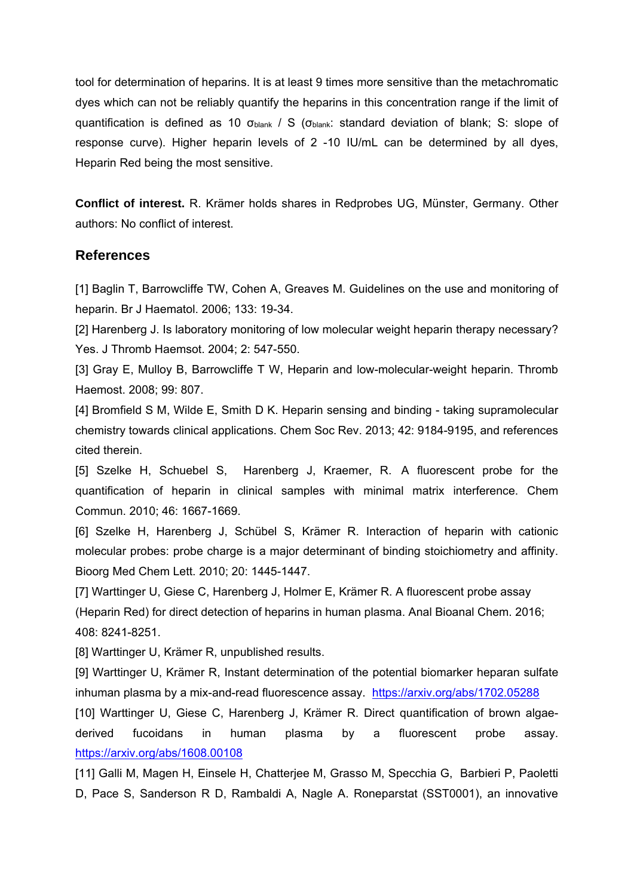tool for determination of heparins. It is at least 9 times more sensitive than the metachromatic dyes which can not be reliably quantify the heparins in this concentration range if the limit of quantification is defined as 10  $\sigma_{\text{blank}}$  / S ( $\sigma_{\text{blank}}$ : standard deviation of blank; S: slope of response curve). Higher heparin levels of 2 -10 IU/mL can be determined by all dyes, Heparin Red being the most sensitive.

**Conflict of interest.** R. Krämer holds shares in Redprobes UG, Münster, Germany. Other authors: No conflict of interest.

## **References**

[1] Baglin T, Barrowcliffe TW, Cohen A, Greaves M. Guidelines on the use and monitoring of heparin. Br J Haematol. 2006; 133: 19-34.

[2] Harenberg J. Is laboratory monitoring of low molecular weight heparin therapy necessary? Yes. J Thromb Haemsot. 2004; 2: 547-550.

[3] Gray E, Mulloy B, Barrowcliffe T W, Heparin and low-molecular-weight heparin. Thromb Haemost. 2008; 99: 807.

[4] Bromfield S M, Wilde E, Smith D K. Heparin sensing and binding - taking supramolecular chemistry towards clinical applications. Chem Soc Rev. 2013; 42: 9184-9195, and references cited therein.

[5] Szelke H, Schuebel S, Harenberg J, Kraemer, R. A fluorescent probe for the quantification of heparin in clinical samples with minimal matrix interference. Chem Commun. 2010; 46: 1667-1669.

[6] Szelke H, Harenberg J, Schübel S, Krämer R. Interaction of heparin with cationic molecular probes: probe charge is a major determinant of binding stoichiometry and affinity. Bioorg Med Chem Lett. 2010; 20: 1445-1447.

[7] Warttinger U, Giese C, Harenberg J, Holmer E, Krämer R. A fluorescent probe assay (Heparin Red) for direct detection of heparins in human plasma. Anal Bioanal Chem. 2016; 408: 8241-8251.

[8] Warttinger U, Krämer R, unpublished results.

[9] Warttinger U, Krämer R, Instant determination of the potential biomarker heparan sulfate inhuman plasma by a mix-and-read fluorescence assay. https://arxiv.org/abs/1702.05288

[10] Warttinger U, Giese C, Harenberg J, Krämer R. Direct quantification of brown algaederived fucoidans in human plasma by a fluorescent probe assay. https://arxiv.org/abs/1608.00108

[11] Galli M, Magen H, Einsele H, Chatterjee M, Grasso M, Specchia G, Barbieri P, Paoletti D, Pace S, Sanderson R D, Rambaldi A, Nagle A. Roneparstat (SST0001), an innovative